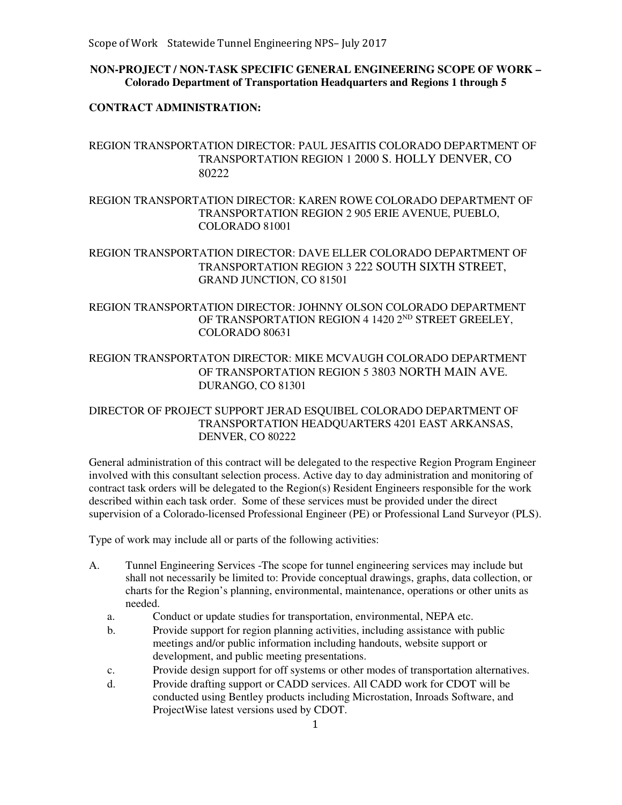### **NON-PROJECT / NON-TASK SPECIFIC GENERAL ENGINEERING SCOPE OF WORK – Colorado Department of Transportation Headquarters and Regions 1 through 5**

#### **CONTRACT ADMINISTRATION:**

# REGION TRANSPORTATION DIRECTOR: PAUL JESAITIS COLORADO DEPARTMENT OF TRANSPORTATION REGION 1 2000 S. HOLLY DENVER, CO 80222

REGION TRANSPORTATION DIRECTOR: KAREN ROWE COLORADO DEPARTMENT OF TRANSPORTATION REGION 2 905 ERIE AVENUE, PUEBLO, COLORADO 81001

REGION TRANSPORTATION DIRECTOR: DAVE ELLER COLORADO DEPARTMENT OF TRANSPORTATION REGION 3 222 SOUTH SIXTH STREET, GRAND JUNCTION, CO 81501

### REGION TRANSPORTATION DIRECTOR: JOHNNY OLSON COLORADO DEPARTMENT OF TRANSPORTATION REGION 4 1420 2ND STREET GREELEY, COLORADO 80631

# REGION TRANSPORTATON DIRECTOR: MIKE MCVAUGH COLORADO DEPARTMENT OF TRANSPORTATION REGION 5 3803 NORTH MAIN AVE. DURANGO, CO 81301

### DIRECTOR OF PROJECT SUPPORT JERAD ESQUIBEL COLORADO DEPARTMENT OF TRANSPORTATION HEADQUARTERS 4201 EAST ARKANSAS, DENVER, CO 80222

General administration of this contract will be delegated to the respective Region Program Engineer involved with this consultant selection process. Active day to day administration and monitoring of contract task orders will be delegated to the Region(s) Resident Engineers responsible for the work described within each task order. Some of these services must be provided under the direct supervision of a Colorado-licensed Professional Engineer (PE) or Professional Land Surveyor (PLS).

Type of work may include all or parts of the following activities:

- A. Tunnel Engineering Services -The scope for tunnel engineering services may include but shall not necessarily be limited to: Provide conceptual drawings, graphs, data collection, or charts for the Region's planning, environmental, maintenance, operations or other units as needed.
	- a. Conduct or update studies for transportation, environmental, NEPA etc.
	- b. Provide support for region planning activities, including assistance with public meetings and/or public information including handouts, website support or development, and public meeting presentations.
	- c. Provide design support for off systems or other modes of transportation alternatives.
	- d. Provide drafting support or CADD services. All CADD work for CDOT will be conducted using Bentley products including Microstation, Inroads Software, and ProjectWise latest versions used by CDOT.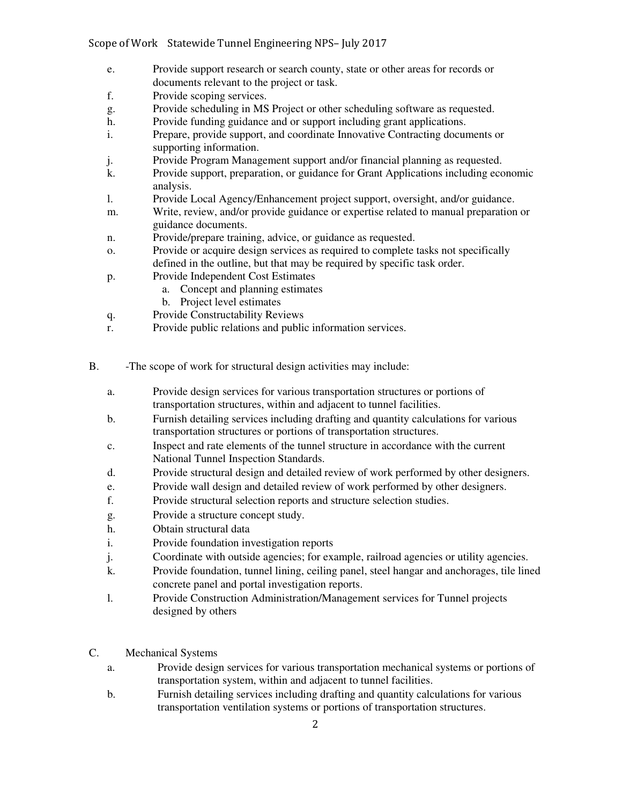- e. Provide support research or search county, state or other areas for records or documents relevant to the project or task.
- f. Provide scoping services.
- g. Provide scheduling in MS Project or other scheduling software as requested.
- h. Provide funding guidance and or support including grant applications.
- i. Prepare, provide support, and coordinate Innovative Contracting documents or supporting information.
- j. Provide Program Management support and/or financial planning as requested.
- k. Provide support, preparation, or guidance for Grant Applications including economic analysis.
- l. Provide Local Agency/Enhancement project support, oversight, and/or guidance.
- m. Write, review, and/or provide guidance or expertise related to manual preparation or guidance documents.
- n. Provide/prepare training, advice, or guidance as requested.
- o. Provide or acquire design services as required to complete tasks not specifically defined in the outline, but that may be required by specific task order.
- p. Provide Independent Cost Estimates
	- a. Concept and planning estimates
	- b. Project level estimates
- q. Provide Constructability Reviews
- r. Provide public relations and public information services.
- B. -The scope of work for structural design activities may include:
	- a. Provide design services for various transportation structures or portions of transportation structures, within and adjacent to tunnel facilities.
	- b. Furnish detailing services including drafting and quantity calculations for various transportation structures or portions of transportation structures.
	- c. Inspect and rate elements of the tunnel structure in accordance with the current National Tunnel Inspection Standards.
	- d. Provide structural design and detailed review of work performed by other designers.
	- e. Provide wall design and detailed review of work performed by other designers.
	- f. Provide structural selection reports and structure selection studies.
	- g. Provide a structure concept study.
	- h. Obtain structural data
	- i. Provide foundation investigation reports
	- j. Coordinate with outside agencies; for example, railroad agencies or utility agencies.
	- k. Provide foundation, tunnel lining, ceiling panel, steel hangar and anchorages, tile lined concrete panel and portal investigation reports.
	- l. Provide Construction Administration/Management services for Tunnel projects designed by others
- C. Mechanical Systems
	- a. Provide design services for various transportation mechanical systems or portions of transportation system, within and adjacent to tunnel facilities.
	- b. Furnish detailing services including drafting and quantity calculations for various transportation ventilation systems or portions of transportation structures.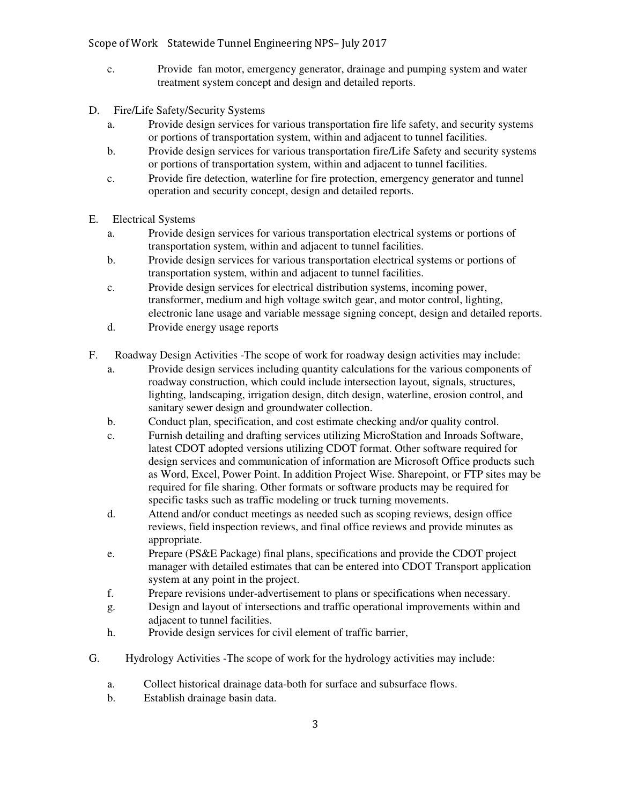Scope of Work Statewide Tunnel Engineering NPS– July 2017

- c. Provide fan motor, emergency generator, drainage and pumping system and water treatment system concept and design and detailed reports.
- D. Fire/Life Safety/Security Systems
	- a. Provide design services for various transportation fire life safety, and security systems or portions of transportation system, within and adjacent to tunnel facilities.
	- b. Provide design services for various transportation fire/Life Safety and security systems or portions of transportation system, within and adjacent to tunnel facilities.
	- c. Provide fire detection, waterline for fire protection, emergency generator and tunnel operation and security concept, design and detailed reports.
- E. Electrical Systems
	- a. Provide design services for various transportation electrical systems or portions of transportation system, within and adjacent to tunnel facilities.
	- b. Provide design services for various transportation electrical systems or portions of transportation system, within and adjacent to tunnel facilities.
	- c. Provide design services for electrical distribution systems, incoming power, transformer, medium and high voltage switch gear, and motor control, lighting, electronic lane usage and variable message signing concept, design and detailed reports.
	- d. Provide energy usage reports
- F. Roadway Design Activities -The scope of work for roadway design activities may include:
	- a. Provide design services including quantity calculations for the various components of roadway construction, which could include intersection layout, signals, structures, lighting, landscaping, irrigation design, ditch design, waterline, erosion control, and sanitary sewer design and groundwater collection.
	- b. Conduct plan, specification, and cost estimate checking and/or quality control.
	- c. Furnish detailing and drafting services utilizing MicroStation and Inroads Software, latest CDOT adopted versions utilizing CDOT format. Other software required for design services and communication of information are Microsoft Office products such as Word, Excel, Power Point. In addition Project Wise. Sharepoint, or FTP sites may be required for file sharing. Other formats or software products may be required for specific tasks such as traffic modeling or truck turning movements.
	- d. Attend and/or conduct meetings as needed such as scoping reviews, design office reviews, field inspection reviews, and final office reviews and provide minutes as appropriate.
	- e. Prepare (PS&E Package) final plans, specifications and provide the CDOT project manager with detailed estimates that can be entered into CDOT Transport application system at any point in the project.
	- f. Prepare revisions under-advertisement to plans or specifications when necessary.
	- g. Design and layout of intersections and traffic operational improvements within and adjacent to tunnel facilities.
	- h. Provide design services for civil element of traffic barrier,
- G. Hydrology Activities -The scope of work for the hydrology activities may include:
	- a. Collect historical drainage data-both for surface and subsurface flows.
	- b. Establish drainage basin data.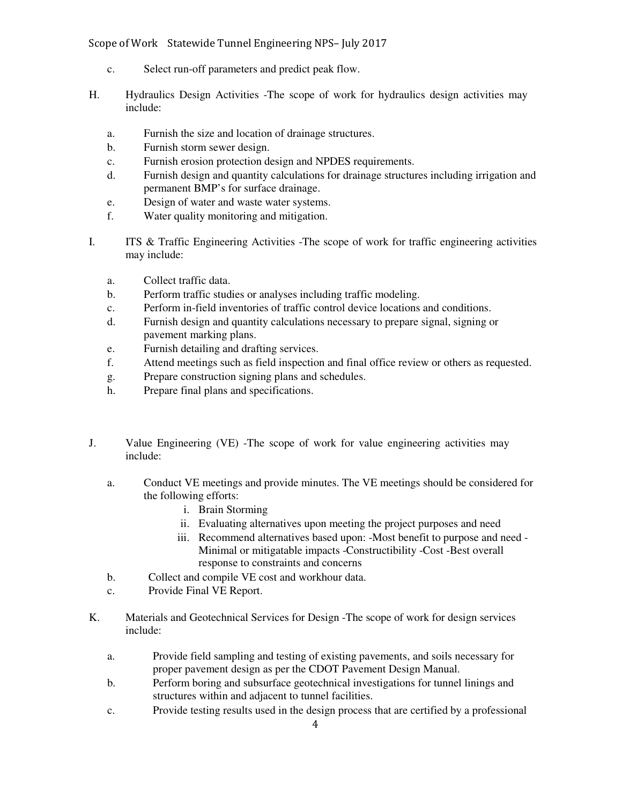Scope of Work Statewide Tunnel Engineering NPS– July 2017

- c. Select run-off parameters and predict peak flow.
- H. Hydraulics Design Activities -The scope of work for hydraulics design activities may include:
	- a. Furnish the size and location of drainage structures.
	- b. Furnish storm sewer design.
	- c. Furnish erosion protection design and NPDES requirements.
	- d. Furnish design and quantity calculations for drainage structures including irrigation and permanent BMP's for surface drainage.
	- e. Design of water and waste water systems.
	- f. Water quality monitoring and mitigation.
- I. ITS & Traffic Engineering Activities -The scope of work for traffic engineering activities may include:
	- a. Collect traffic data.
	- b. Perform traffic studies or analyses including traffic modeling.
	- c. Perform in-field inventories of traffic control device locations and conditions.
	- d. Furnish design and quantity calculations necessary to prepare signal, signing or pavement marking plans.
	- e. Furnish detailing and drafting services.
	- f. Attend meetings such as field inspection and final office review or others as requested.
	- g. Prepare construction signing plans and schedules.
	- h. Prepare final plans and specifications.
- J. Value Engineering (VE) -The scope of work for value engineering activities may include:
	- a. Conduct VE meetings and provide minutes. The VE meetings should be considered for the following efforts:
		- i. Brain Storming
		- ii. Evaluating alternatives upon meeting the project purposes and need
		- iii. Recommend alternatives based upon: -Most benefit to purpose and need Minimal or mitigatable impacts -Constructibility -Cost -Best overall response to constraints and concerns
	- b. Collect and compile VE cost and workhour data.
	- c. Provide Final VE Report.
- K. Materials and Geotechnical Services for Design -The scope of work for design services include:
	- a. Provide field sampling and testing of existing pavements, and soils necessary for proper pavement design as per the CDOT Pavement Design Manual.
	- b. Perform boring and subsurface geotechnical investigations for tunnel linings and structures within and adjacent to tunnel facilities.
	- c. Provide testing results used in the design process that are certified by a professional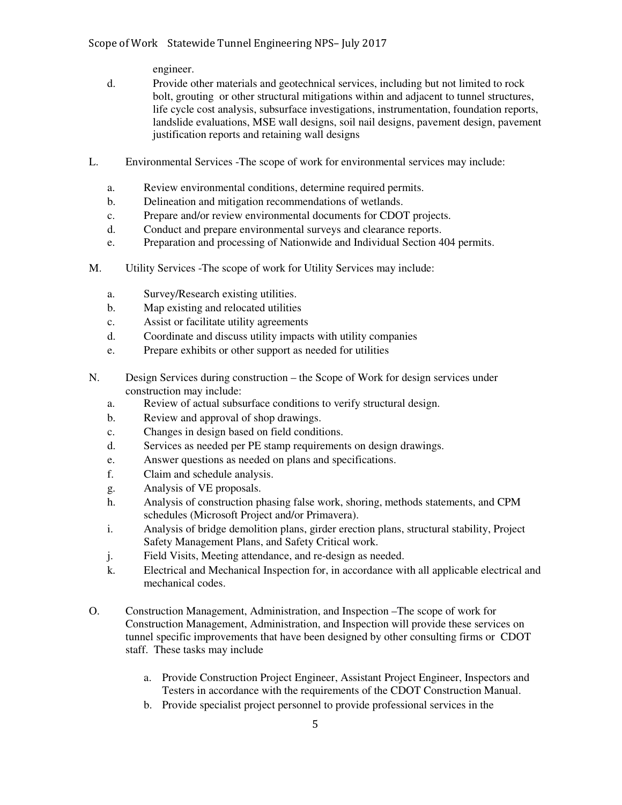engineer.

- d. Provide other materials and geotechnical services, including but not limited to rock bolt, grouting or other structural mitigations within and adjacent to tunnel structures, life cycle cost analysis, subsurface investigations, instrumentation, foundation reports, landslide evaluations, MSE wall designs, soil nail designs, pavement design, pavement justification reports and retaining wall designs
- L. Environmental Services -The scope of work for environmental services may include:
	- a. Review environmental conditions, determine required permits.
	- b. Delineation and mitigation recommendations of wetlands.
	- c. Prepare and/or review environmental documents for CDOT projects.
	- d. Conduct and prepare environmental surveys and clearance reports.
	- e. Preparation and processing of Nationwide and Individual Section 404 permits.
- M. Utility Services -The scope of work for Utility Services may include:
	- a. Survey/Research existing utilities.
	- b. Map existing and relocated utilities
	- c. Assist or facilitate utility agreements
	- d. Coordinate and discuss utility impacts with utility companies
	- e. Prepare exhibits or other support as needed for utilities
- N. Design Services during construction the Scope of Work for design services under construction may include:
	- a. Review of actual subsurface conditions to verify structural design.
	- b. Review and approval of shop drawings.
	- c. Changes in design based on field conditions.
	- d. Services as needed per PE stamp requirements on design drawings.
	- e. Answer questions as needed on plans and specifications.
	- f. Claim and schedule analysis.
	- g. Analysis of VE proposals.
	- h. Analysis of construction phasing false work, shoring, methods statements, and CPM schedules (Microsoft Project and/or Primavera).
	- i. Analysis of bridge demolition plans, girder erection plans, structural stability, Project Safety Management Plans, and Safety Critical work.
	- j. Field Visits, Meeting attendance, and re-design as needed.
	- k. Electrical and Mechanical Inspection for, in accordance with all applicable electrical and mechanical codes.
- O. Construction Management, Administration, and Inspection –The scope of work for Construction Management, Administration, and Inspection will provide these services on tunnel specific improvements that have been designed by other consulting firms or CDOT staff. These tasks may include
	- a. Provide Construction Project Engineer, Assistant Project Engineer, Inspectors and Testers in accordance with the requirements of the CDOT Construction Manual.
	- b. Provide specialist project personnel to provide professional services in the